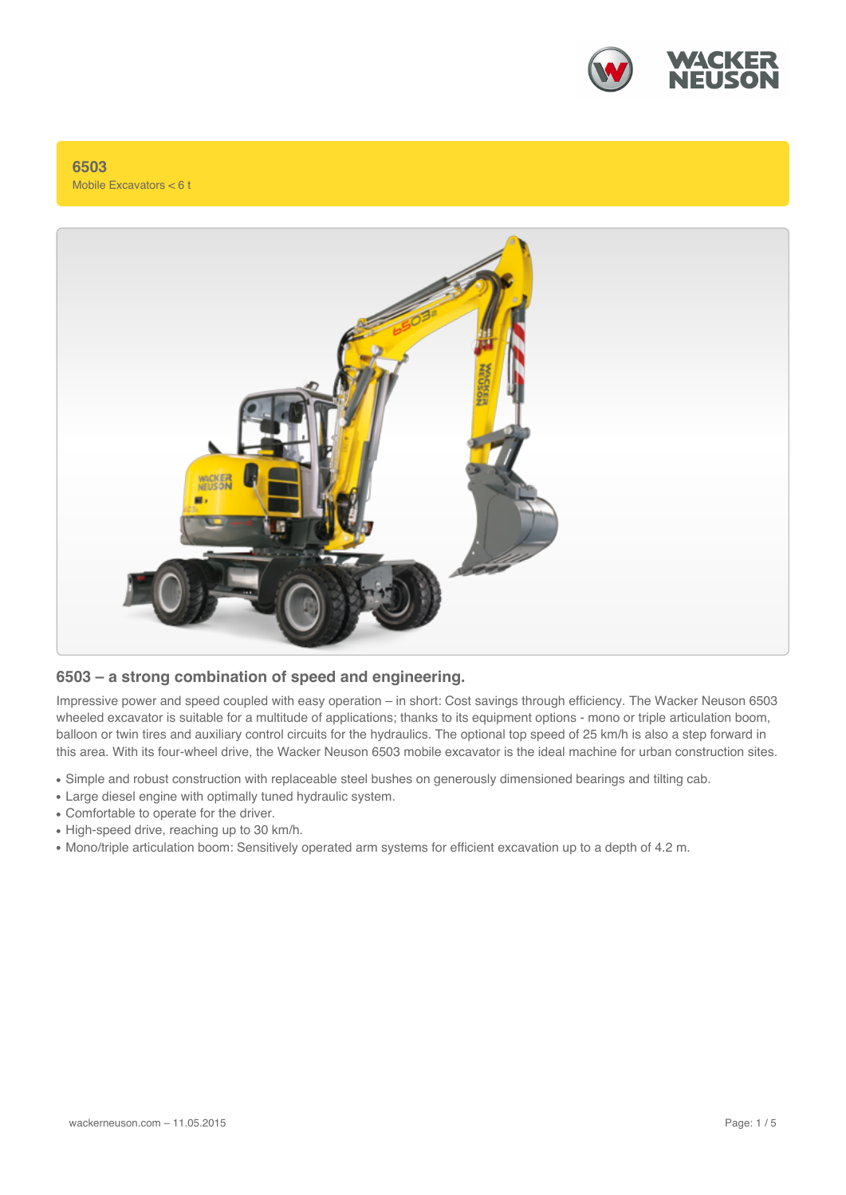

**6503** Mobile Excavators < 6 t



#### **6503 – a strong combination of speed and engineering.**

Impressive power and speed coupled with easy operation – in short: Cost savings through efficiency. The Wacker Neuson 6503 wheeled excavator is suitable for a multitude of applications; thanks to its equipment options - mono or triple articulation boom, balloon or twin tires and auxiliary control circuits for the hydraulics. The optional top speed of 25 km/h is also a step forward in this area. With its four-wheel drive, the Wacker Neuson 6503 mobile excavator is the ideal machine for urban construction sites.

- Simple and robust construction with replaceable steel bushes on generously dimensioned bearings and tilting cab.
- Large diesel engine with optimally tuned hydraulic system.
- Comfortable to operate for the driver.
- High-speed drive, reaching up to 30 km/h.
- Mono/triple articulation boom: Sensitively operated arm systems for efficient excavation up to a depth of 4.2 m.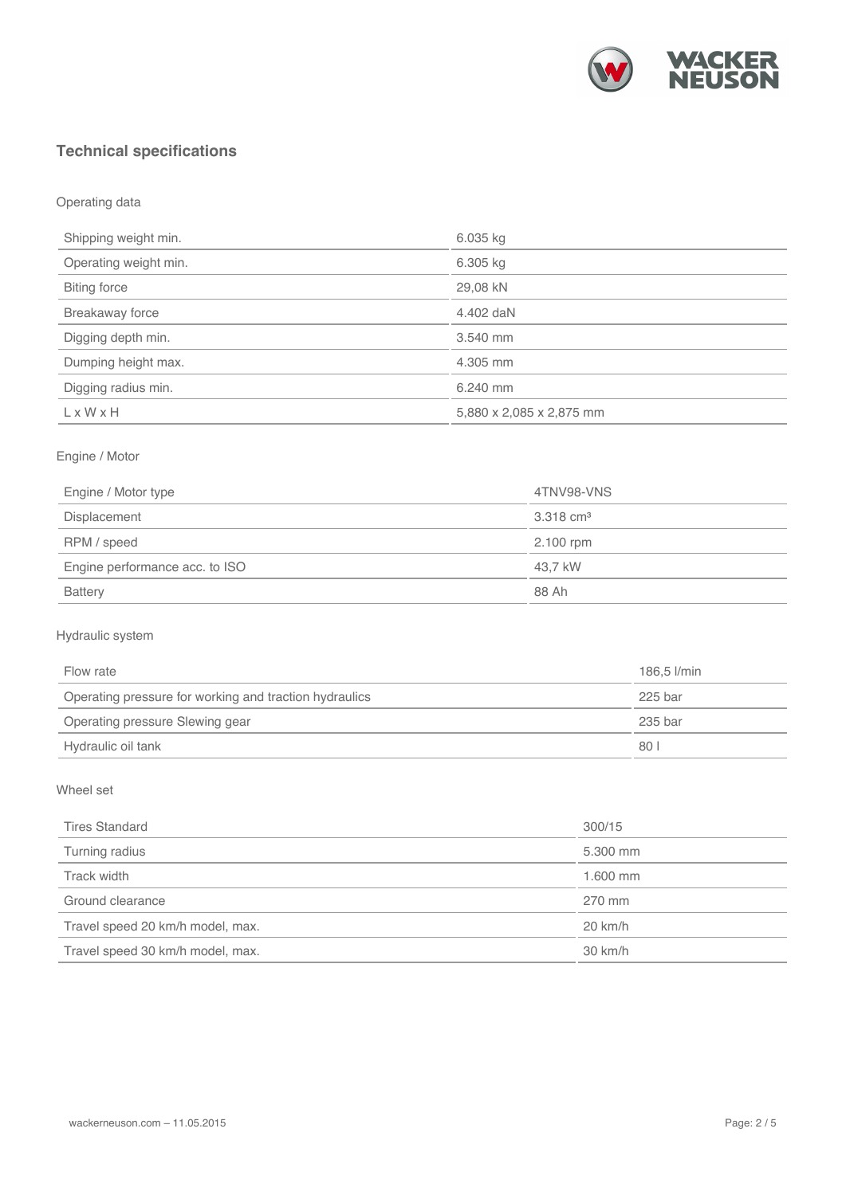

# **Technical specifications**

Operating data

| 6.035 kg                 |  |
|--------------------------|--|
| 6.305 kg                 |  |
| 29,08 kN                 |  |
| 4.402 daN                |  |
| 3.540 mm                 |  |
| 4.305 mm                 |  |
| 6.240 mm                 |  |
| 5,880 x 2,085 x 2,875 mm |  |
|                          |  |

### Engine / Motor

| Engine / Motor type            | 4TNV98-VNS           |
|--------------------------------|----------------------|
| Displacement                   | $3.318 \text{ cm}^3$ |
| RPM / speed                    | 2.100 rpm            |
| Engine performance acc. to ISO | 43.7 kW              |
| <b>Battery</b>                 | 88 Ah                |

### Hydraulic system

| Flow rate                                              | 186.5 l/min |
|--------------------------------------------------------|-------------|
| Operating pressure for working and traction hydraulics | 225 bar     |
| Operating pressure Slewing gear                        | 235 bar     |
| Hydraulic oil tank                                     | 80          |

#### Wheel set

| <b>Tires Standard</b>            | 300/15            |
|----------------------------------|-------------------|
| Turning radius                   | 5.300 mm          |
| Track width                      | 1.600 mm          |
| Ground clearance                 | 270 mm            |
| Travel speed 20 km/h model, max. | $20 \text{ km/h}$ |
| Travel speed 30 km/h model, max. | 30 km/h           |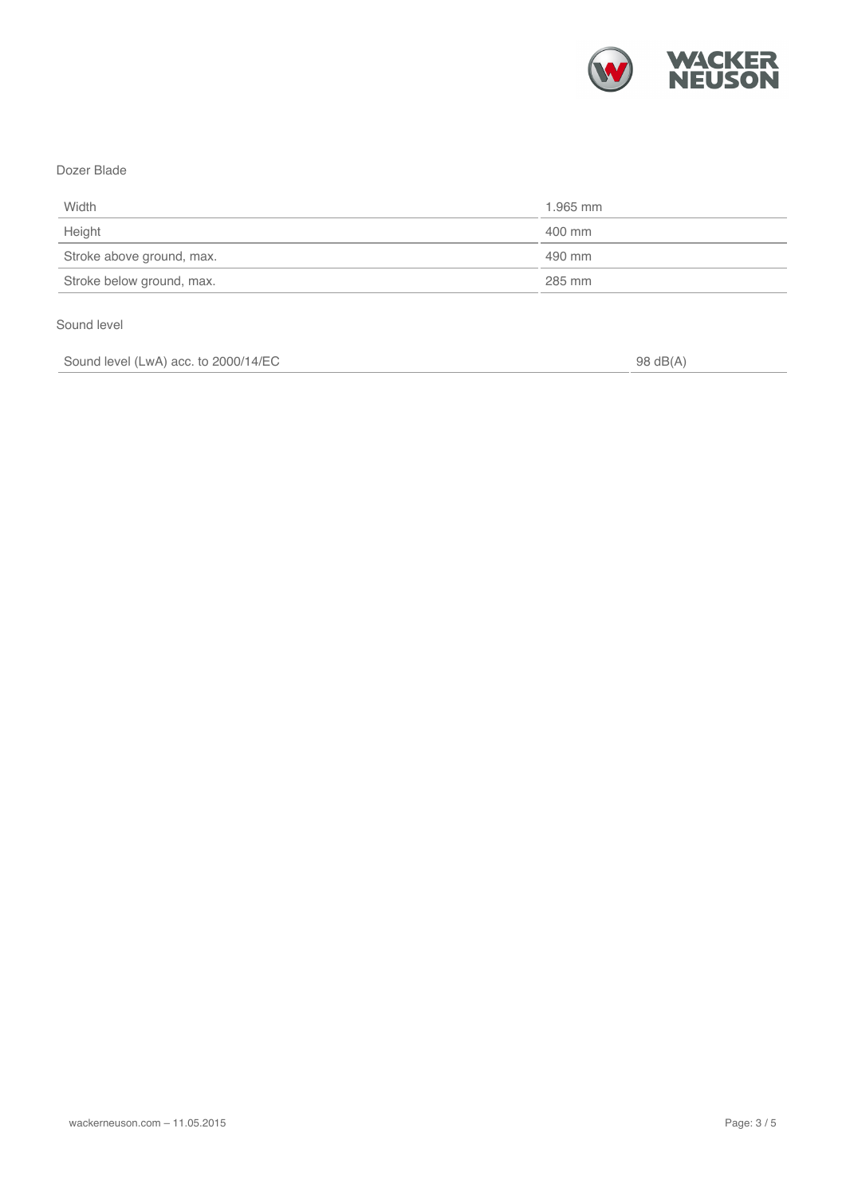

#### Dozer Blade

| Width                     | 1.965 mm |
|---------------------------|----------|
| Height                    | 400 mm   |
| Stroke above ground, max. | 490 mm   |
| Stroke below ground, max. | 285 mm   |

#### Sound level

Sound level (LwA) acc. to 2000/14/EC 98 dB(A)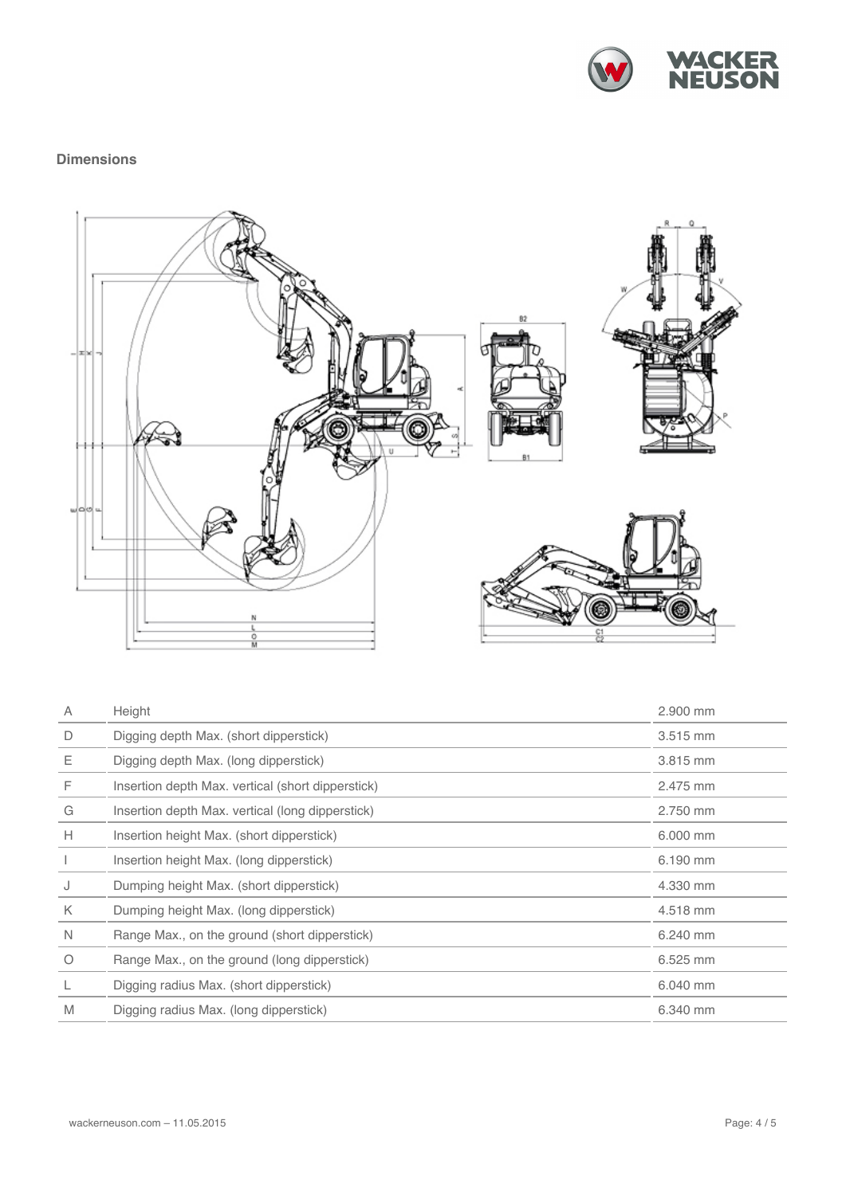

## **Dimensions**



| $\overline{A}$ | Height                                            | 2.900 mm |
|----------------|---------------------------------------------------|----------|
| D              | Digging depth Max. (short dipperstick)            | 3.515 mm |
| Ε              | Digging depth Max. (long dipperstick)             | 3.815 mm |
| F              | Insertion depth Max. vertical (short dipperstick) | 2.475 mm |
| G              | Insertion depth Max. vertical (long dipperstick)  | 2.750 mm |
| H              | Insertion height Max. (short dipperstick)         | 6.000 mm |
|                | Insertion height Max. (long dipperstick)          | 6.190 mm |
| J              | Dumping height Max. (short dipperstick)           | 4.330 mm |
| K              | Dumping height Max. (long dipperstick)            | 4.518 mm |
| $\mathbb N$    | Range Max., on the ground (short dipperstick)     | 6.240 mm |
| $\circ$        | Range Max., on the ground (long dipperstick)      | 6.525 mm |
| L              | Digging radius Max. (short dipperstick)           | 6.040 mm |
| M              | Digging radius Max. (long dipperstick)            | 6.340 mm |